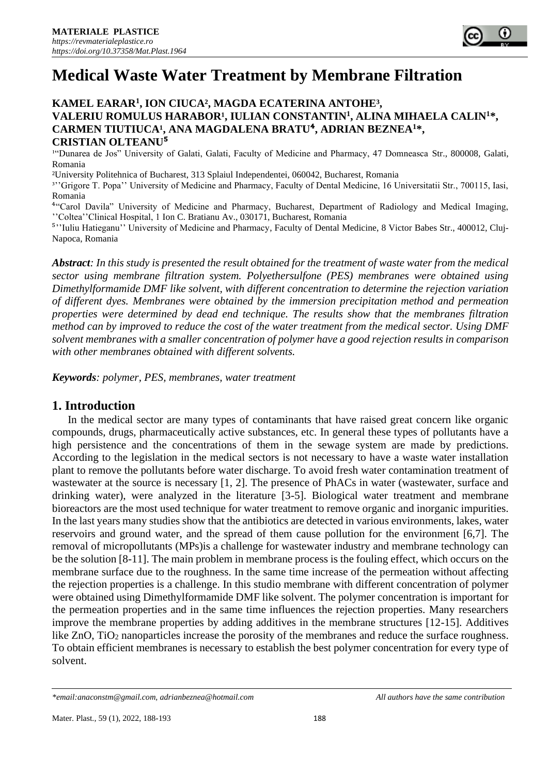# **Medical Waste Water Treatment by Membrane Filtration**

## **KAMEL EARAR<sup>1</sup> , ION CIUCA², MAGDA ECATERINA ANTOHE³, VALERIU ROMULUS HARABOR<sup>1</sup>, IULIAN CONSTANTIN<sup>1</sup>, ALINA MIHAELA CALIN<sup>1</sup>\*, CARMEN TIUTIUCA¹, ANA MAGDALENA BRATU**⁴**, ADRIAN BEZNEA<sup>1</sup>\*, CRISTIAN OLTEANU**⁵

<sup>14</sup>Dunarea de Jos" University of Galati, Galati, Faculty of Medicine and Pharmacy, 47 Domneasca Str., 800008, Galati, Romania

²University Politehnica of Bucharest, 313 Splaiul Independentei, 060042, Bucharest, Romania

<sup>3</sup>''Grigore T. Popa'' University of Medicine and Pharmacy, Faculty of Dental Medicine, 16 Universitatii Str., 700115, Iasi, Romania

⁴"Carol Davila" University of Medicine and Pharmacy, Bucharest, Department of Radiology and Medical Imaging, ''Coltea''Clinical Hospital, 1 Ion C. Bratianu Av., 030171, Bucharest, Romania

<sup>5</sup>"'Iuliu Hatieganu'' University of Medicine and Pharmacy, Faculty of Dental Medicine, 8 Victor Babes Str., 400012, Cluj-Napoca, Romania

*Abstract: In this study is presented the result obtained for the treatment of waste water from the medical sector using membrane filtration system. Polyethersulfone (PES) membranes were obtained using Dimethylformamide DMF like solvent, with different concentration to determine the rejection variation of different dyes. Membranes were obtained by the immersion precipitation method and permeation properties were determined by dead end technique. The results show that the membranes filtration method can by improved to reduce the cost of the water treatment from the medical sector. Using DMF solvent membranes with a smaller concentration of polymer have a good rejection results in comparison with other membranes obtained with different solvents.*

*Keywords: polymer, PES, membranes, water treatment*

# **1. Introduction**

In the medical sector are many types of contaminants that have raised great concern like organic compounds, drugs, pharmaceutically active substances, etc. In general these types of pollutants have a high persistence and the concentrations of them in the sewage system are made by predictions. According to the legislation in the medical sectors is not necessary to have a waste water installation plant to remove the pollutants before water discharge. To avoid fresh water contamination treatment of wastewater at the source is necessary [1, 2]. The presence of PhACs in water (wastewater, surface and drinking water), were analyzed in the literature [3-5]. Biological water treatment and membrane bioreactors are the most used technique for water treatment to remove organic and inorganic impurities. In the last years many studies show that the antibiotics are detected in various environments, lakes, water reservoirs and ground water, and the spread of them cause pollution for the environment [6,7]. The removal of micropollutants (MPs)is a challenge for wastewater industry and membrane technology can be the solution [8-11]. The main problem in membrane process is the fouling effect, which occurs on the membrane surface due to the roughness. In the same time increase of the permeation without affecting the rejection properties is a challenge. In this studio membrane with different concentration of polymer were obtained using Dimethylformamide DMF like solvent. The polymer concentration is important for the permeation properties and in the same time influences the rejection properties. Many researchers improve the membrane properties by adding additives in the membrane structures [12-15]. Additives like ZnO, TiO<sub>2</sub> nanoparticles increase the porosity of the membranes and reduce the surface roughness. To obtain efficient membranes is necessary to establish the best polymer concentration for every type of solvent.

*<sup>\*</sup>email[:anaconstm@gmail.com,](mailto:anaconstm@gmail.com) [adrianbeznea@hotmail.com](mailto:adrianbeznea@hotmail.com) All authors have the same contribution*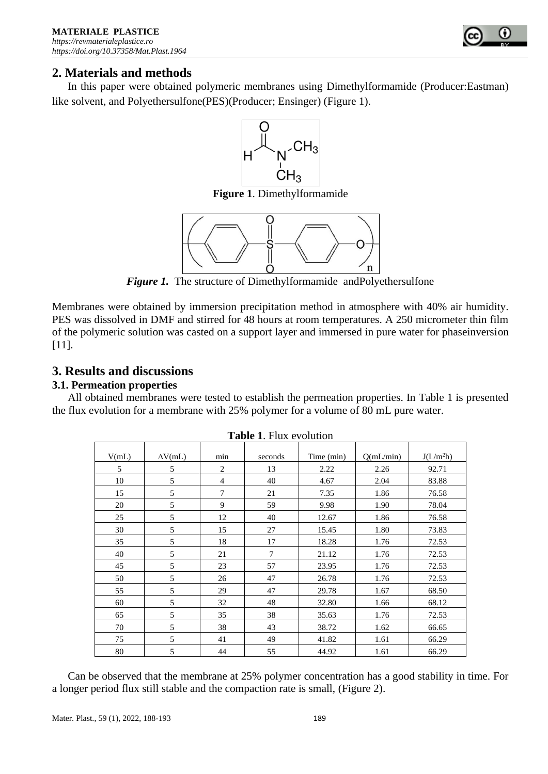

# **2. Materials and methods**

In this paper were obtained polymeric membranes using Dimethylformamide (Producer:Eastman) like solvent, and Polyethersulfone(PES)(Producer; Ensinger) (Figure 1).



**Figure 1**. Dimethylformamide



*Figure 1.* The structure of Dimethylformamide andPolyethersulfone

Membranes were obtained by immersion precipitation method in atmosphere with 40% air humidity. PES was dissolved in DMF and stirred for 48 hours at room temperatures. A 250 micrometer thin film of the polymeric solution was casted on a support layer and immersed in pure water for phaseinversion [11].

# **3. Results and discussions**

## **3.1. Permeation properties**

All obtained membranes were tested to establish the permeation properties. In Table 1 is presented the flux evolution for a membrane with 25% polymer for a volume of 80 mL pure water.

| V(mL) | $\Delta V$ (mL) | min            | seconds        | Time (min) | Q(mL/min) | J(L/m <sup>2</sup> h) |
|-------|-----------------|----------------|----------------|------------|-----------|-----------------------|
| 5     | 5               | 2              | 13             | 2.22       | 2.26      | 92.71                 |
| 10    | 5               | $\overline{4}$ | 40             | 4.67       | 2.04      | 83.88                 |
| 15    | 5               | 7              | 21             | 7.35       | 1.86      | 76.58                 |
| 20    | 5               | 9              | 59             | 9.98       | 1.90      | 78.04                 |
| 25    | 5               | 12             | 40             | 12.67      | 1.86      | 76.58                 |
| 30    | 5               | 15             | 27             | 15.45      | 1.80      | 73.83                 |
| 35    | 5               | 18             | 17             | 18.28      | 1.76      | 72.53                 |
| 40    | 5               | 21             | $\overline{7}$ | 21.12      | 1.76      | 72.53                 |
| 45    | 5               | 23             | 57             | 23.95      | 1.76      | 72.53                 |
| 50    | 5               | 26             | 47             | 26.78      | 1.76      | 72.53                 |
| 55    | 5               | 29             | 47             | 29.78      | 1.67      | 68.50                 |
| 60    | 5               | 32             | 48             | 32.80      | 1.66      | 68.12                 |
| 65    | 5               | 35             | 38             | 35.63      | 1.76      | 72.53                 |
| 70    | 5               | 38             | 43             | 38.72      | 1.62      | 66.65                 |
| 75    | 5               | 41             | 49             | 41.82      | 1.61      | 66.29                 |
| 80    | 5               | 44             | 55             | 44.92      | 1.61      | 66.29                 |

|  |  | <b>Table 1. Flux evolution</b> |
|--|--|--------------------------------|
|--|--|--------------------------------|

Can be observed that the membrane at 25% polymer concentration has a good stability in time. For a longer period flux still stable and the compaction rate is small, (Figure 2).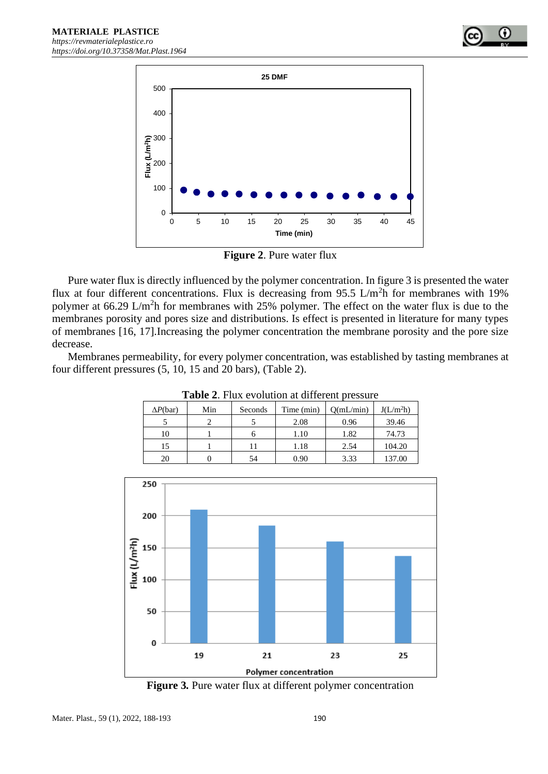

**Figure 2**. Pure water flux

Pure water flux is directly influenced by the polymer concentration. In figure 3 is presented the water flux at four different concentrations. Flux is decreasing from 95.5 L/m<sup>2</sup>h for membranes with 19% polymer at 66.29 L/m<sup>2</sup>h for membranes with 25% polymer. The effect on the water flux is due to the membranes porosity and pores size and distributions. Is effect is presented in literature for many types of membranes [16, 17].Increasing the polymer concentration the membrane porosity and the pore size decrease.

Membranes permeability, for every polymer concentration, was established by tasting membranes at four different pressures (5, 10, 15 and 20 bars), (Table 2).

| <b>Table 2.</b> That evolution at university pressure |     |         |            |           |                       |  |  |
|-------------------------------------------------------|-----|---------|------------|-----------|-----------------------|--|--|
| $\Delta P(\text{bar})$                                | Min | Seconds | Time (min) | O(mL/min) | J(L/m <sup>2</sup> h) |  |  |
|                                                       |     |         | 2.08       | 0.96      | 39.46                 |  |  |
| 10                                                    |     |         | 1.10       | 1.82      | 74.73                 |  |  |
| 15                                                    |     |         | 1.18       | 2.54      | 104.20                |  |  |
| 20                                                    |     | 54      | 0.90       | 3.33      | 137.00                |  |  |

**Table 2**. Flux evolution at different pressure



**Figure 3***.* Pure water flux at different polymer concentration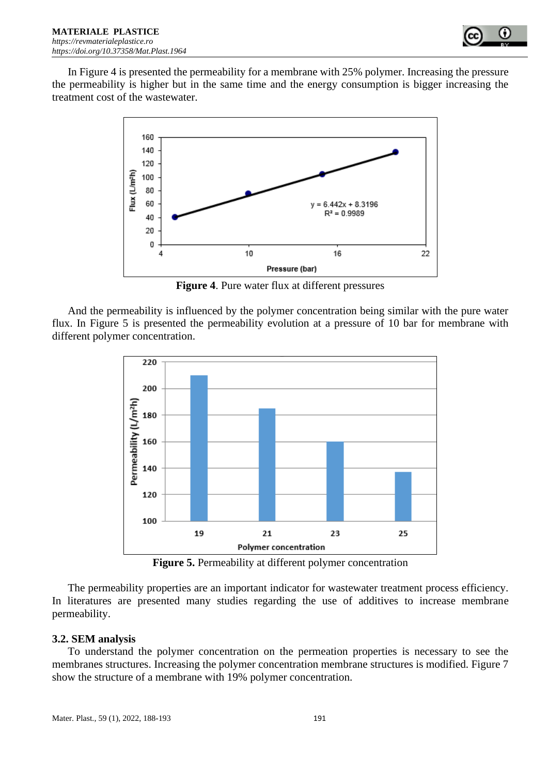

In Figure 4 is presented the permeability for a membrane with 25% polymer. Increasing the pressure the permeability is higher but in the same time and the energy consumption is bigger increasing the treatment cost of the wastewater.



**Figure 4**. Pure water flux at different pressures

And the permeability is influenced by the polymer concentration being similar with the pure water flux. In Figure 5 is presented the permeability evolution at a pressure of 10 bar for membrane with different polymer concentration.



**Figure 5.** Permeability at different polymer concentration

The permeability properties are an important indicator for wastewater treatment process efficiency. In literatures are presented many studies regarding the use of additives to increase membrane permeability.

#### **3.2. SEM analysis**

To understand the polymer concentration on the permeation properties is necessary to see the membranes structures. Increasing the polymer concentration membrane structures is modified. Figure 7 show the structure of a membrane with 19% polymer concentration.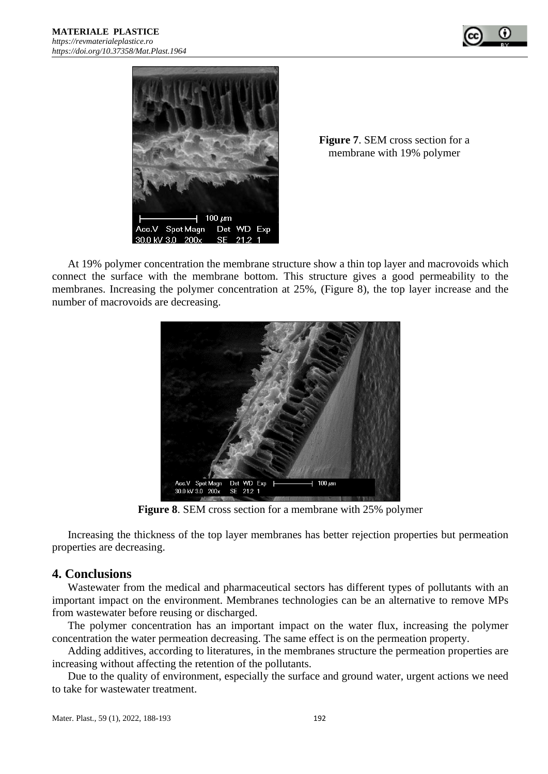



**Figure 7**. SEM cross section for a membrane with 19% polymer

At 19% polymer concentration the membrane structure show a thin top layer and macrovoids which connect the surface with the membrane bottom. This structure gives a good permeability to the membranes. Increasing the polymer concentration at 25%, (Figure 8), the top layer increase and the number of macrovoids are decreasing.



**Figure 8**. SEM cross section for a membrane with 25% polymer

Increasing the thickness of the top layer membranes has better rejection properties but permeation properties are decreasing.

#### **4. Conclusions**

Wastewater from the medical and pharmaceutical sectors has different types of pollutants with an important impact on the environment. Membranes technologies can be an alternative to remove MPs from wastewater before reusing or discharged.

The polymer concentration has an important impact on the water flux, increasing the polymer concentration the water permeation decreasing. The same effect is on the permeation property.

Adding additives, according to literatures, in the membranes structure the permeation properties are increasing without affecting the retention of the pollutants.

Due to the quality of environment, especially the surface and ground water, urgent actions we need to take for wastewater treatment.